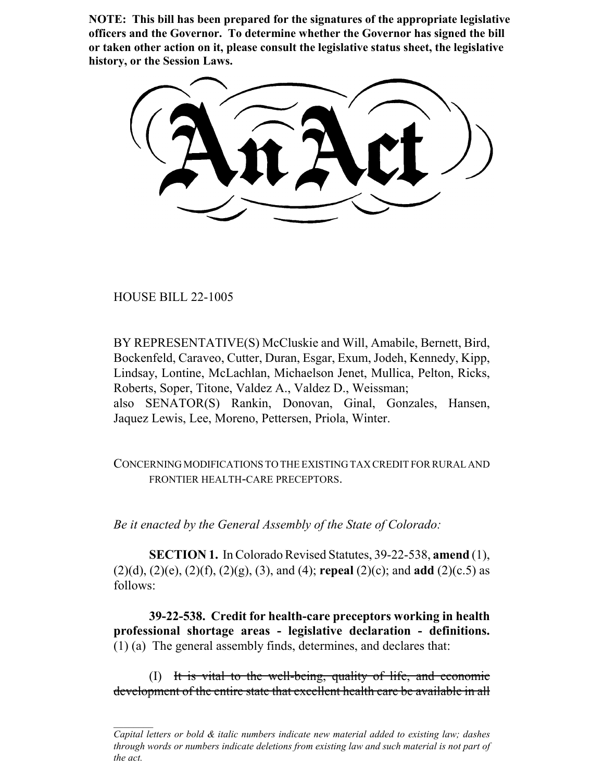**NOTE: This bill has been prepared for the signatures of the appropriate legislative officers and the Governor. To determine whether the Governor has signed the bill or taken other action on it, please consult the legislative status sheet, the legislative history, or the Session Laws.**

HOUSE BILL 22-1005

BY REPRESENTATIVE(S) McCluskie and Will, Amabile, Bernett, Bird, Bockenfeld, Caraveo, Cutter, Duran, Esgar, Exum, Jodeh, Kennedy, Kipp, Lindsay, Lontine, McLachlan, Michaelson Jenet, Mullica, Pelton, Ricks, Roberts, Soper, Titone, Valdez A., Valdez D., Weissman; also SENATOR(S) Rankin, Donovan, Ginal, Gonzales, Hansen, Jaquez Lewis, Lee, Moreno, Pettersen, Priola, Winter.

CONCERNING MODIFICATIONS TO THE EXISTING TAX CREDIT FOR RURAL AND FRONTIER HEALTH-CARE PRECEPTORS.

*Be it enacted by the General Assembly of the State of Colorado:*

**SECTION 1.** In Colorado Revised Statutes, 39-22-538, **amend** (1), (2)(d), (2)(e), (2)(f), (2)(g), (3), and (4); **repeal** (2)(c); and **add** (2)(c.5) as follows:

**39-22-538. Credit for health-care preceptors working in health professional shortage areas - legislative declaration - definitions.** (1) (a) The general assembly finds, determines, and declares that:

(I) It is vital to the well-being, quality of life, and economic development of the entire state that excellent health care be available in all

*Capital letters or bold & italic numbers indicate new material added to existing law; dashes through words or numbers indicate deletions from existing law and such material is not part of the act.*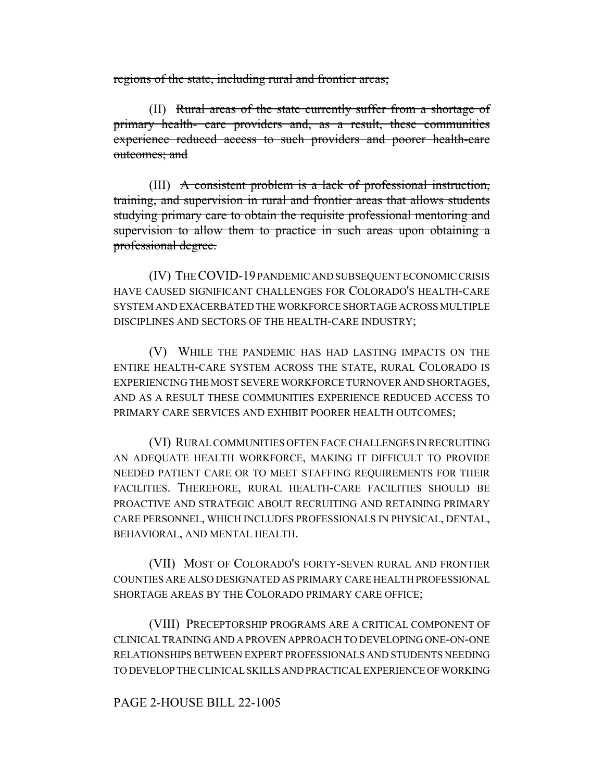regions of the state, including rural and frontier areas;

(II) Rural areas of the state currently suffer from a shortage of primary health- care providers and, as a result, these communities experience reduced access to such providers and poorer health-care outcomes; and

(III) A consistent problem is a lack of professional instruction, training, and supervision in rural and frontier areas that allows students studying primary care to obtain the requisite professional mentoring and supervision to allow them to practice in such areas upon obtaining a professional degree.

(IV) THE COVID-19 PANDEMIC AND SUBSEQUENT ECONOMIC CRISIS HAVE CAUSED SIGNIFICANT CHALLENGES FOR COLORADO'S HEALTH-CARE SYSTEM AND EXACERBATED THE WORKFORCE SHORTAGE ACROSS MULTIPLE DISCIPLINES AND SECTORS OF THE HEALTH-CARE INDUSTRY;

(V) WHILE THE PANDEMIC HAS HAD LASTING IMPACTS ON THE ENTIRE HEALTH-CARE SYSTEM ACROSS THE STATE, RURAL COLORADO IS EXPERIENCING THE MOST SEVERE WORKFORCE TURNOVER AND SHORTAGES, AND AS A RESULT THESE COMMUNITIES EXPERIENCE REDUCED ACCESS TO PRIMARY CARE SERVICES AND EXHIBIT POORER HEALTH OUTCOMES;

(VI) RURAL COMMUNITIES OFTEN FACE CHALLENGES IN RECRUITING AN ADEQUATE HEALTH WORKFORCE, MAKING IT DIFFICULT TO PROVIDE NEEDED PATIENT CARE OR TO MEET STAFFING REQUIREMENTS FOR THEIR FACILITIES. THEREFORE, RURAL HEALTH-CARE FACILITIES SHOULD BE PROACTIVE AND STRATEGIC ABOUT RECRUITING AND RETAINING PRIMARY CARE PERSONNEL, WHICH INCLUDES PROFESSIONALS IN PHYSICAL, DENTAL, BEHAVIORAL, AND MENTAL HEALTH.

(VII) MOST OF COLORADO'S FORTY-SEVEN RURAL AND FRONTIER COUNTIES ARE ALSO DESIGNATED AS PRIMARY CARE HEALTH PROFESSIONAL SHORTAGE AREAS BY THE COLORADO PRIMARY CARE OFFICE;

(VIII) PRECEPTORSHIP PROGRAMS ARE A CRITICAL COMPONENT OF CLINICAL TRAINING AND A PROVEN APPROACH TO DEVELOPING ONE-ON-ONE RELATIONSHIPS BETWEEN EXPERT PROFESSIONALS AND STUDENTS NEEDING TO DEVELOP THE CLINICAL SKILLS AND PRACTICAL EXPERIENCE OF WORKING

# PAGE 2-HOUSE BILL 22-1005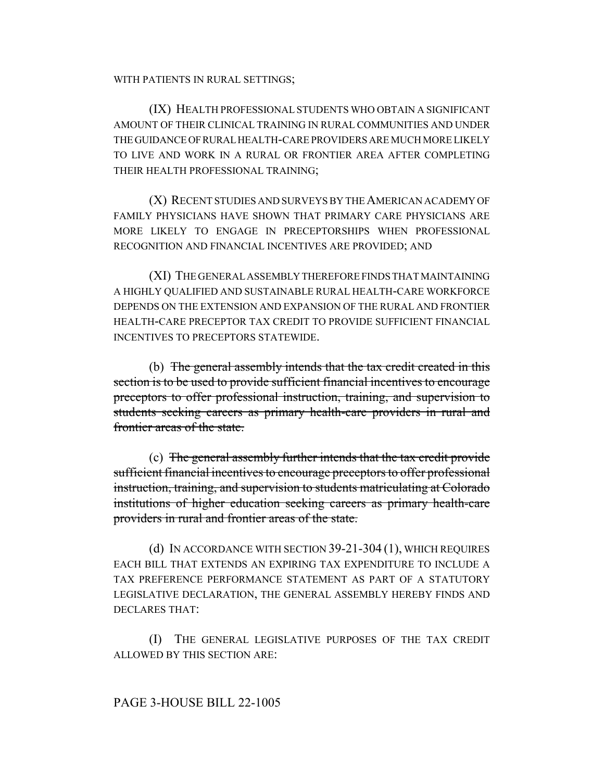#### WITH PATIENTS IN RURAL SETTINGS;

(IX) HEALTH PROFESSIONAL STUDENTS WHO OBTAIN A SIGNIFICANT AMOUNT OF THEIR CLINICAL TRAINING IN RURAL COMMUNITIES AND UNDER THE GUIDANCE OF RURAL HEALTH-CARE PROVIDERS ARE MUCH MORE LIKELY TO LIVE AND WORK IN A RURAL OR FRONTIER AREA AFTER COMPLETING THEIR HEALTH PROFESSIONAL TRAINING;

(X) RECENT STUDIES AND SURVEYS BY THE AMERICAN ACADEMY OF FAMILY PHYSICIANS HAVE SHOWN THAT PRIMARY CARE PHYSICIANS ARE MORE LIKELY TO ENGAGE IN PRECEPTORSHIPS WHEN PROFESSIONAL RECOGNITION AND FINANCIAL INCENTIVES ARE PROVIDED; AND

(XI) THE GENERAL ASSEMBLY THEREFORE FINDS THAT MAINTAINING A HIGHLY QUALIFIED AND SUSTAINABLE RURAL HEALTH-CARE WORKFORCE DEPENDS ON THE EXTENSION AND EXPANSION OF THE RURAL AND FRONTIER HEALTH-CARE PRECEPTOR TAX CREDIT TO PROVIDE SUFFICIENT FINANCIAL INCENTIVES TO PRECEPTORS STATEWIDE.

(b) The general assembly intends that the tax credit created in this section is to be used to provide sufficient financial incentives to encourage preceptors to offer professional instruction, training, and supervision to students seeking careers as primary health-care providers in rural and frontier areas of the state.

(c) The general assembly further intends that the tax credit provide sufficient financial incentives to encourage preceptors to offer professional instruction, training, and supervision to students matriculating at Colorado institutions of higher education seeking careers as primary health-care providers in rural and frontier areas of the state.

(d) IN ACCORDANCE WITH SECTION 39-21-304 (1), WHICH REQUIRES EACH BILL THAT EXTENDS AN EXPIRING TAX EXPENDITURE TO INCLUDE A TAX PREFERENCE PERFORMANCE STATEMENT AS PART OF A STATUTORY LEGISLATIVE DECLARATION, THE GENERAL ASSEMBLY HEREBY FINDS AND DECLARES THAT:

(I) THE GENERAL LEGISLATIVE PURPOSES OF THE TAX CREDIT ALLOWED BY THIS SECTION ARE:

## PAGE 3-HOUSE BILL 22-1005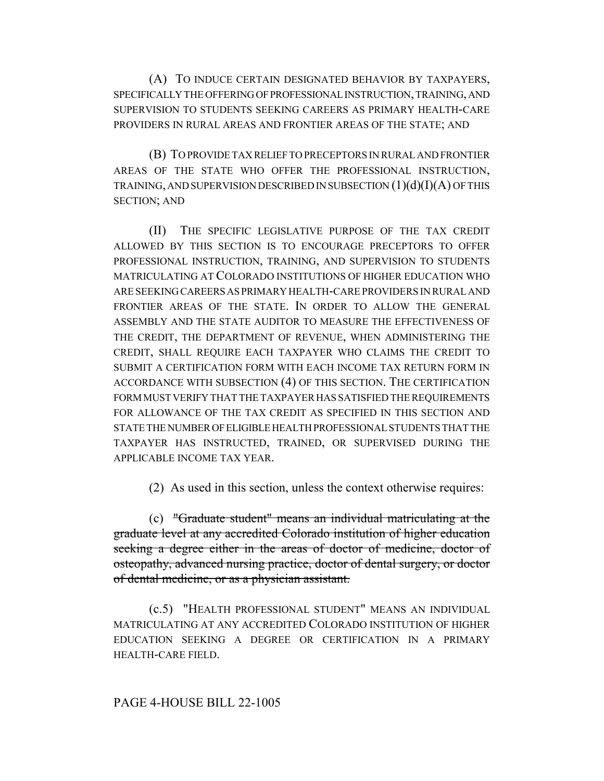(A) TO INDUCE CERTAIN DESIGNATED BEHAVIOR BY TAXPAYERS, SPECIFICALLY THE OFFERING OF PROFESSIONAL INSTRUCTION, TRAINING, AND SUPERVISION TO STUDENTS SEEKING CAREERS AS PRIMARY HEALTH-CARE PROVIDERS IN RURAL AREAS AND FRONTIER AREAS OF THE STATE; AND

(B) TO PROVIDE TAX RELIEF TO PRECEPTORS IN RURAL AND FRONTIER AREAS OF THE STATE WHO OFFER THE PROFESSIONAL INSTRUCTION, TRAINING, AND SUPERVISION DESCRIBED IN SUBSECTION  $(1)(d)(I)(A)$  OF THIS SECTION; AND

(II) THE SPECIFIC LEGISLATIVE PURPOSE OF THE TAX CREDIT ALLOWED BY THIS SECTION IS TO ENCOURAGE PRECEPTORS TO OFFER PROFESSIONAL INSTRUCTION, TRAINING, AND SUPERVISION TO STUDENTS MATRICULATING AT COLORADO INSTITUTIONS OF HIGHER EDUCATION WHO ARE SEEKING CAREERS AS PRIMARY HEALTH-CARE PROVIDERS IN RURAL AND FRONTIER AREAS OF THE STATE. IN ORDER TO ALLOW THE GENERAL ASSEMBLY AND THE STATE AUDITOR TO MEASURE THE EFFECTIVENESS OF THE CREDIT, THE DEPARTMENT OF REVENUE, WHEN ADMINISTERING THE CREDIT, SHALL REQUIRE EACH TAXPAYER WHO CLAIMS THE CREDIT TO SUBMIT A CERTIFICATION FORM WITH EACH INCOME TAX RETURN FORM IN ACCORDANCE WITH SUBSECTION (4) OF THIS SECTION. THE CERTIFICATION FORM MUST VERIFY THAT THE TAXPAYER HAS SATISFIED THE REQUIREMENTS FOR ALLOWANCE OF THE TAX CREDIT AS SPECIFIED IN THIS SECTION AND STATE THE NUMBER OF ELIGIBLE HEALTH PROFESSIONAL STUDENTS THAT THE TAXPAYER HAS INSTRUCTED, TRAINED, OR SUPERVISED DURING THE APPLICABLE INCOME TAX YEAR.

(2) As used in this section, unless the context otherwise requires:

(c) "Graduate student" means an individual matriculating at the graduate level at any accredited Colorado institution of higher education seeking a degree either in the areas of doctor of medicine, doctor of osteopathy, advanced nursing practice, doctor of dental surgery, or doctor of dental medicine, or as a physician assistant.

(c.5) "HEALTH PROFESSIONAL STUDENT" MEANS AN INDIVIDUAL MATRICULATING AT ANY ACCREDITED COLORADO INSTITUTION OF HIGHER EDUCATION SEEKING A DEGREE OR CERTIFICATION IN A PRIMARY HEALTH-CARE FIELD.

## PAGE 4-HOUSE BILL 22-1005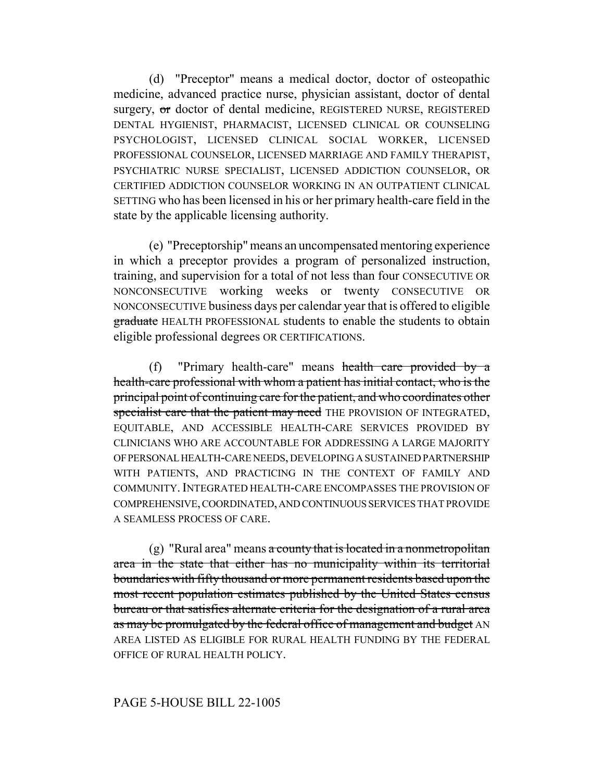(d) "Preceptor" means a medical doctor, doctor of osteopathic medicine, advanced practice nurse, physician assistant, doctor of dental surgery, or doctor of dental medicine, REGISTERED NURSE, REGISTERED DENTAL HYGIENIST, PHARMACIST, LICENSED CLINICAL OR COUNSELING PSYCHOLOGIST, LICENSED CLINICAL SOCIAL WORKER, LICENSED PROFESSIONAL COUNSELOR, LICENSED MARRIAGE AND FAMILY THERAPIST, PSYCHIATRIC NURSE SPECIALIST, LICENSED ADDICTION COUNSELOR, OR CERTIFIED ADDICTION COUNSELOR WORKING IN AN OUTPATIENT CLINICAL SETTING who has been licensed in his or her primary health-care field in the state by the applicable licensing authority.

(e) "Preceptorship" means an uncompensated mentoring experience in which a preceptor provides a program of personalized instruction, training, and supervision for a total of not less than four CONSECUTIVE OR NONCONSECUTIVE working weeks or twenty CONSECUTIVE OR NONCONSECUTIVE business days per calendar year that is offered to eligible graduate HEALTH PROFESSIONAL students to enable the students to obtain eligible professional degrees OR CERTIFICATIONS.

(f) "Primary health-care" means health care provided by a health-care professional with whom a patient has initial contact, who is the principal point of continuing care for the patient, and who coordinates other specialist care that the patient may need THE PROVISION OF INTEGRATED, EQUITABLE, AND ACCESSIBLE HEALTH-CARE SERVICES PROVIDED BY CLINICIANS WHO ARE ACCOUNTABLE FOR ADDRESSING A LARGE MAJORITY OF PERSONAL HEALTH-CARE NEEDS, DEVELOPING A SUSTAINED PARTNERSHIP WITH PATIENTS, AND PRACTICING IN THE CONTEXT OF FAMILY AND COMMUNITY. INTEGRATED HEALTH-CARE ENCOMPASSES THE PROVISION OF COMPREHENSIVE, COORDINATED, AND CONTINUOUS SERVICES THAT PROVIDE A SEAMLESS PROCESS OF CARE.

 $(g)$  "Rural area" means a county that is located in a nonmetropolitan area in the state that either has no municipality within its territorial boundaries with fifty thousand or more permanent residents based upon the most recent population estimates published by the United States census bureau or that satisfies alternate criteria for the designation of a rural area as may be promulgated by the federal office of management and budget AN AREA LISTED AS ELIGIBLE FOR RURAL HEALTH FUNDING BY THE FEDERAL OFFICE OF RURAL HEALTH POLICY.

## PAGE 5-HOUSE BILL 22-1005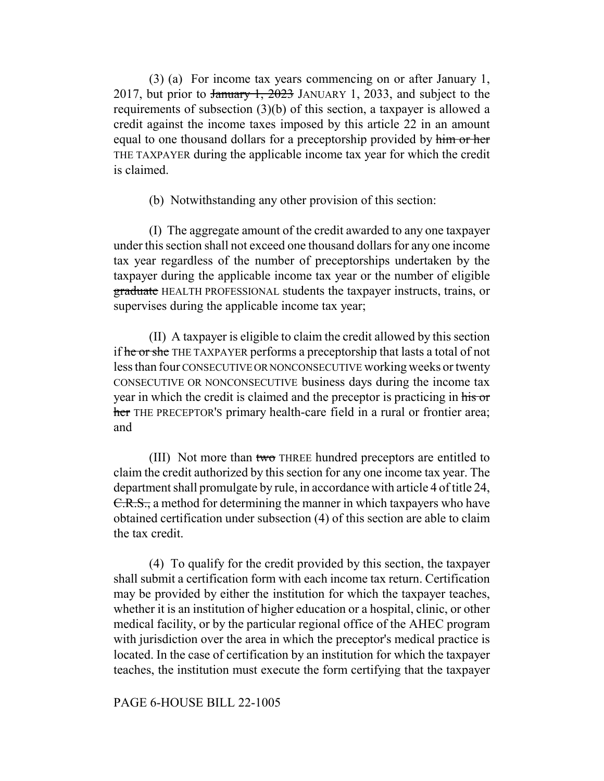(3) (a) For income tax years commencing on or after January 1, 2017, but prior to January 1, 2023 JANUARY 1, 2033, and subject to the requirements of subsection (3)(b) of this section, a taxpayer is allowed a credit against the income taxes imposed by this article 22 in an amount equal to one thousand dollars for a preceptorship provided by him or her THE TAXPAYER during the applicable income tax year for which the credit is claimed.

(b) Notwithstanding any other provision of this section:

(I) The aggregate amount of the credit awarded to any one taxpayer under this section shall not exceed one thousand dollars for any one income tax year regardless of the number of preceptorships undertaken by the taxpayer during the applicable income tax year or the number of eligible graduate HEALTH PROFESSIONAL students the taxpayer instructs, trains, or supervises during the applicable income tax year;

(II) A taxpayer is eligible to claim the credit allowed by this section if he or she THE TAXPAYER performs a preceptorship that lasts a total of not less than four CONSECUTIVE OR NONCONSECUTIVE working weeks or twenty CONSECUTIVE OR NONCONSECUTIVE business days during the income tax year in which the credit is claimed and the preceptor is practicing in his or her THE PRECEPTOR's primary health-care field in a rural or frontier area; and

(III) Not more than two THREE hundred preceptors are entitled to claim the credit authorized by this section for any one income tax year. The department shall promulgate by rule, in accordance with article 4 of title 24, C.R.S., a method for determining the manner in which taxpayers who have obtained certification under subsection (4) of this section are able to claim the tax credit.

(4) To qualify for the credit provided by this section, the taxpayer shall submit a certification form with each income tax return. Certification may be provided by either the institution for which the taxpayer teaches, whether it is an institution of higher education or a hospital, clinic, or other medical facility, or by the particular regional office of the AHEC program with jurisdiction over the area in which the preceptor's medical practice is located. In the case of certification by an institution for which the taxpayer teaches, the institution must execute the form certifying that the taxpayer

#### PAGE 6-HOUSE BILL 22-1005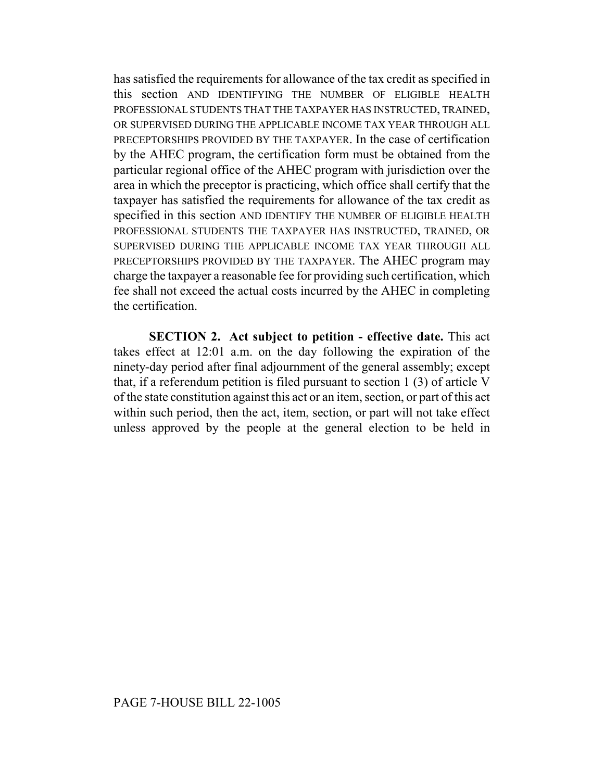has satisfied the requirements for allowance of the tax credit as specified in this section AND IDENTIFYING THE NUMBER OF ELIGIBLE HEALTH PROFESSIONAL STUDENTS THAT THE TAXPAYER HAS INSTRUCTED, TRAINED, OR SUPERVISED DURING THE APPLICABLE INCOME TAX YEAR THROUGH ALL PRECEPTORSHIPS PROVIDED BY THE TAXPAYER. In the case of certification by the AHEC program, the certification form must be obtained from the particular regional office of the AHEC program with jurisdiction over the area in which the preceptor is practicing, which office shall certify that the taxpayer has satisfied the requirements for allowance of the tax credit as specified in this section AND IDENTIFY THE NUMBER OF ELIGIBLE HEALTH PROFESSIONAL STUDENTS THE TAXPAYER HAS INSTRUCTED, TRAINED, OR SUPERVISED DURING THE APPLICABLE INCOME TAX YEAR THROUGH ALL PRECEPTORSHIPS PROVIDED BY THE TAXPAYER. The AHEC program may charge the taxpayer a reasonable fee for providing such certification, which fee shall not exceed the actual costs incurred by the AHEC in completing the certification.

**SECTION 2. Act subject to petition - effective date.** This act takes effect at 12:01 a.m. on the day following the expiration of the ninety-day period after final adjournment of the general assembly; except that, if a referendum petition is filed pursuant to section 1 (3) of article V of the state constitution against this act or an item, section, or part of this act within such period, then the act, item, section, or part will not take effect unless approved by the people at the general election to be held in